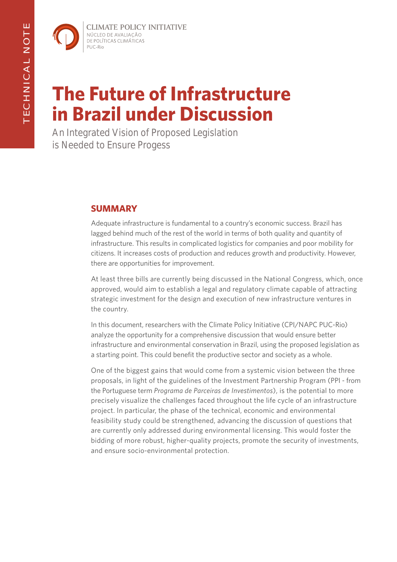**CLIMATE POLICY INITIATIVE** NÚCLEO DE AVALIAÇÃO DE POLÍTICAS CLIMÁTICAS PUC-Rio

# **The Future of Infrastructure in Brazil under Discussion**

An Integrated Vision of Proposed Legislation is Needed to Ensure Progess

## **SUMMARY**

Adequate infrastructure is fundamental to a country's economic success. Brazil has lagged behind much of the rest of the world in terms of both quality and quantity of infrastructure. This results in complicated logistics for companies and poor mobility for citizens. It increases costs of production and reduces growth and productivity. However, there are opportunities for improvement.

At least three bills are currently being discussed in the National Congress, which, once approved, would aim to establish a legal and regulatory climate capable of attracting strategic investment for the design and execution of new infrastructure ventures in the country.

In this document, researchers with the Climate Policy Initiative (CPI/NAPC PUC-Rio) analyze the opportunity for a comprehensive discussion that would ensure better infrastructure and environmental conservation in Brazil, using the proposed legislation as a starting point. This could benefit the productive sector and society as a whole.

One of the biggest gains that would come from a systemic vision between the three proposals, in light of the guidelines of the Investment Partnership Program (PPI - from the Portuguese term *Programa de Parceiras de Investimentos*), is the potential to more precisely visualize the challenges faced throughout the life cycle of an infrastructure project. In particular, the phase of the technical, economic and environmental feasibility study could be strengthened, advancing the discussion of questions that are currently only addressed during environmental licensing. This would foster the bidding of more robust, higher-quality projects, promote the security of investments, and ensure socio-environmental protection.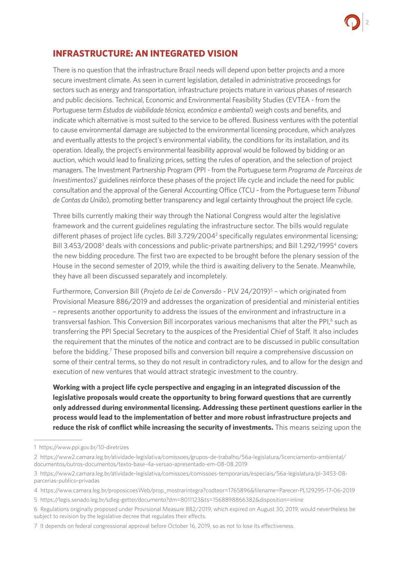

## **INFRASTRUCTURE: AN INTEGRATED VISION**

There is no question that the infrastructure Brazil needs will depend upon better projects and a more secure investment climate. As seen in current legislation, detailed in administrative proceedings for sectors such as energy and transportation, infrastructure projects mature in various phases of research and public decisions. Technical, Economic and Environmental Feasibility Studies (EVTEA - from the Portuguese term *Estudos de viabilidade técnica, econômica e ambiental*) weigh costs and benefits, and indicate which alternative is most suited to the service to be offered. Business ventures with the potential to cause environmental damage are subjected to the environmental licensing procedure, which analyzes and eventually attests to the project's environmental viability, the conditions for its installation, and its operation. Ideally, the project's environmental feasibility approval would be followed by bidding or an auction, which would lead to finalizing prices, setting the rules of operation, and the selection of project managers. The Investment Partnership Program (PPI - from the Portuguese term *Programa de Parceiras de*  Investimentos)<sup>1</sup> guidelines reinforce these phases of the project life cycle and include the need for public consultation and the approval of the General Accounting Office (TCU - from the Portuguese term *Tribunal de Contas da União*), promoting better transparency and legal certainty throughout the project life cycle.

Three bills currently making their way through the National Congress would alter the legislative framework and the current guidelines regulating the infrastructure sector. The bills would regulate different phases of project life cycles. Bill 3.729/2004<sup>2</sup> specifically regulates environmental licensing; Bill 3.453/2008<sup>3</sup> deals with concessions and public-private partnerships; and Bill 1.292/1995<sup>4</sup> covers the new bidding procedure. The first two are expected to be brought before the plenary session of the House in the second semester of 2019, while the third is awaiting delivery to the Senate. Meanwhile, they have all been discussed separately and incompletely.

Furthermore, Conversion Bill (*Projeto de Lei de Conversão* - PLV 24/2019)5 – which originated from Provisional Measure 886/2019 and addresses the organization of presidential and ministerial entities – represents another opportunity to address the issues of the environment and infrastructure in a transversal fashion. This Conversion Bill incorporates various mechanisms that alter the PPI,<sup>6</sup> such as transferring the PPI Special Secretary to the auspices of the Presidential Chief of Staff. It also includes the requirement that the minutes of the notice and contract are to be discussed in public consultation before the bidding.<sup>7</sup> These proposed bills and conversion bill require a comprehensive discussion on some of their central terms, so they do not result in contradictory rules, and to allow for the design and execution of new ventures that would attract strategic investment to the country.

**Working with a project life cycle perspective and engaging in an integrated discussion of the legislative proposals would create the opportunity to bring forward questions that are currently only addressed during environmental licensing. Addressing these pertinent questions earlier in the process would lead to the implementation of better and more robust infrastructure projects and reduce the risk of conflict while increasing the security of investments.** This means seizing upon the

<sup>1</sup> <https://www.ppi.gov.br/10-diretrizes>

<sup>2</sup> [https://www2.camara.leg.br/atividade-legislativa/comissoes/grupos-de-trabalho/56a-legislatura/licenciamento-ambiental/](https://www2.camara.leg.br/atividade-legislativa/comissoes/grupos-de-trabalho/56a-legislatura/licenciamento-ambiental/documentos/outros-documentos/texto-base-4a-versao-apresentado-em-08-08.2019) [documentos/outros-documentos/texto-base-4a-versao-apresentado-em-08-08.2019](https://www2.camara.leg.br/atividade-legislativa/comissoes/grupos-de-trabalho/56a-legislatura/licenciamento-ambiental/documentos/outros-documentos/texto-base-4a-versao-apresentado-em-08-08.2019)

<sup>3</sup> [https://www2.camara.leg.br/atividade-legislativa/comissoes/comissoes-temporarias/especiais/56a-legislatura/pl-3453-08](https://www2.camara.leg.br/atividade-legislativa/comissoes/comissoes-temporarias/especiais/56a-legislatura/pl-3453-08-parcerias-publico-privadas) [parcerias-publico-privadas](https://www2.camara.leg.br/atividade-legislativa/comissoes/comissoes-temporarias/especiais/56a-legislatura/pl-3453-08-parcerias-publico-privadas)

<sup>4</sup> [https://www.camara.leg.br/proposicoesWeb/prop\\_mostrarintegra?codteor=1765896&filename=Parecer-PL129295-17-06-2019](https://www.camara.leg.br/proposicoesWeb/prop_mostrarintegra?codteor=1765896&filename=Parecer-PL129295-17-06-2019)

<sup>5</sup><https://legis.senado.leg.br/sdleg-getter/documento?dm=8011123&ts=1568898866382&disposition=inline>

<sup>6</sup> Regulations originally proposed under Provisional Measure 882/2019, which expired on August 30, 2019, would nevertheless be subject to revision by the legislative decree that regulates their effects.

<sup>7</sup> It depends on federal congressional approval before October 16, 2019, so as not to lose its effectiveness.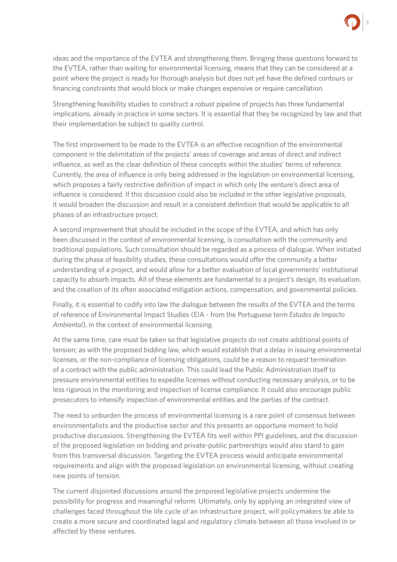

ideas and the importance of the EVTEA and strengthening them. Bringing these questions forward to the EVTEA, rather than waiting for environmental licensing, means that they can be considered at a point where the project is ready for thorough analysis but does not yet have the defined contours or financing constraints that would block or make changes expensive or require cancellation.

Strengthening feasibility studies to construct a robust pipeline of projects has three fundamental implications, already in practice in some sectors. It is essential that they be recognized by law and that their implementation be subject to quality control.

The first improvement to be made to the EVTEA is an effective recognition of the environmental component in the delimitation of the projects' areas of coverage and areas of direct and indirect influence, as well as the clear definition of these concepts within the studies' terms of reference. Currently, the area of influence is only being addressed in the legislation on environmental licensing, which proposes a fairly restrictive definition of impact in which only the venture's direct area of influence is considered. If this discussion could also be included in the other legislative proposals, it would broaden the discussion and result in a consistent definition that would be applicable to all phases of an infrastructure project.

A second improvement that should be included in the scope of the EVTEA, and which has only been discussed in the context of environmental licensing, is consultation with the community and traditional populations. Such consultation should be regarded as a process of dialogue. When initiated during the phase of feasibility studies, these consultations would offer the community a better understanding of a project, and would allow for a better evaluation of local governments' institutional capacity to absorb impacts. All of these elements are fundamental to a project's design, its evaluation, and the creation of its often associated mitigation actions, compensation, and governmental policies.

Finally, it is essential to codify into law the dialogue between the results of the EVTEA and the terms of reference of Environmental Impact Studies (EIA - from the Portuguese term *Estudos de Impacto Ambiental*), in the context of environmental licensing.

At the same time, care must be taken so that legislative projects do not create additional points of tension; as with the proposed bidding law, which would establish that a delay in issuing environmental licenses, or the non-compliance of licensing obligations, could be a reason to request termination of a contract with the public administration. This could lead the Public Administration itself to pressure environmental entities to expedite licenses without conducting necessary analysis, or to be less rigorous in the monitoring and inspection of license compliance. It could also encourage public prosecutors to intensify inspection of environmental entities and the parties of the contract.

The need to unburden the process of environmental licensing is a rare point of consensus between environmentalists and the productive sector and this presents an opportune moment to hold productive discussions. Strengthening the EVTEA fits well within PPI guidelines, and the discussion of the proposed legislation on bidding and private-public partnerships would also stand to gain from this transversal discussion. Targeting the EVTEA process would anticipate environmental requirements and align with the proposed legislation on environmental licensing, without creating new points of tension.

The current disjointed discussions around the proposed legislative projects undermine the possibility for progress and meaningful reform. Ultimately, only by applying an integrated view of challenges faced throughout the life cycle of an infrastructure project, will policymakers be able to create a more secure and coordinated legal and regulatory climate between all those involved in or affected by these ventures.